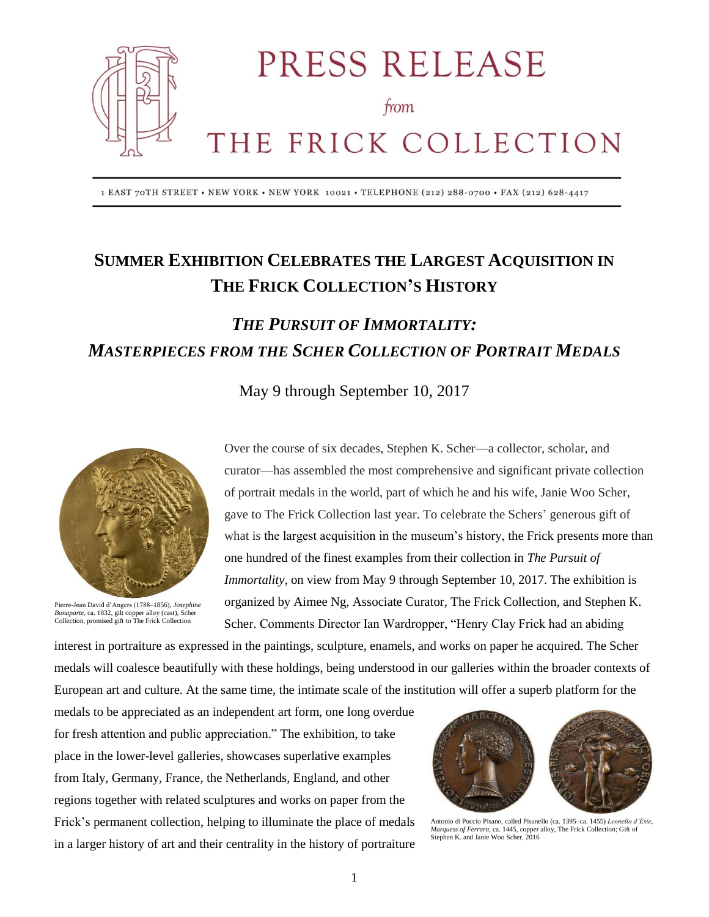

PRESS RELEASE

from

# THE FRICK COLLECTION

1 EAST 70TH STREET • NEW YORK • NEW YORK 10021 • TELEPHONE (212) 288-0700 • FAX (212) 628-4417

## **SUMMER EXHIBITION CELEBRATES THE LARGEST ACQUISITION IN THE FRICK COLLECTION'S HISTORY**

## *THE PURSUIT OF IMMORTALITY: MASTERPIECES FROM THE SCHER COLLECTION OF PORTRAIT MEDALS*

May 9 through September 10, 2017



Pierre-Jean David d'Angers (1788–1856), *Josephine Bonaparte*, ca. 1832, gilt copper alloy (cast), Scher Collection, promised gift to The Frick Collection

Over the course of six decades, Stephen K. Scher—a collector, scholar, and curator—has assembled the most comprehensive and significant private collection of portrait medals in the world, part of which he and his wife, Janie Woo Scher, gave to The Frick Collection last year. To celebrate the Schers' generous gift of what is the largest acquisition in the museum's history, the Frick presents more than one hundred of the finest examples from their collection in *The Pursuit of Immortality, on view from May 9 through September 10, 2017. The exhibition is* organized by Aimee Ng, Associate Curator, The Frick Collection, and Stephen K. Scher. Comments Director Ian Wardropper, "Henry Clay Frick had an abiding

interest in portraiture as expressed in the paintings, sculpture, enamels, and works on paper he acquired. The Scher medals will coalesce beautifully with these holdings, being understood in our galleries within the broader contexts of European art and culture. At the same time, the intimate scale of the institution will offer a superb platform for the

medals to be appreciated as an independent art form, one long overdue for fresh attention and public appreciation." The exhibition, to take place in the lower-level galleries, showcases superlative examples from Italy, Germany, France, the Netherlands, England, and other regions together with related sculptures and works on paper from the Frick's permanent collection, helping to illuminate the place of medals in a larger history of art and their centrality in the history of portraiture



Antonio di Puccio Pisano, called Pisanello (ca. 1395–ca. 1455) *Leonello d'Este*, *Marquess of Ferrara*, ca. 1445, copper alloy, The Frick Collection; Gift of Stephen K. and Janie Woo Scher, 2016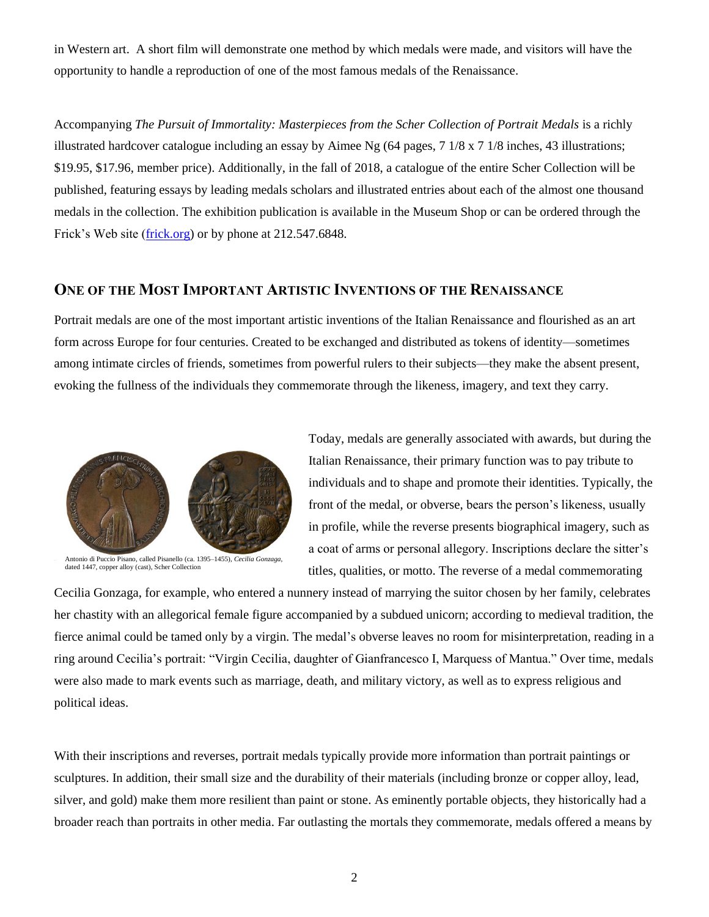in Western art. A short film will demonstrate one method by which medals were made, and visitors will have the opportunity to handle a reproduction of one of the most famous medals of the Renaissance.

Accompanying *The Pursuit of Immortality: Masterpieces from the Scher Collection of Portrait Medals* is a richly illustrated hardcover catalogue including an essay by Aimee Ng (64 pages, 7 1/8 x 7 1/8 inches, 43 illustrations; \$19.95, \$17.96, member price). Additionally, in the fall of 2018, a catalogue of the entire Scher Collection will be published, featuring essays by leading medals scholars and illustrated entries about each of the almost one thousand medals in the collection. The exhibition publication is available in the Museum Shop or can be ordered through the Frick's Web site [\(frick.org\)](http://www.frick.org/) or by phone at 212.547.6848.

### **ONE OF THE MOST IMPORTANT ARTISTIC INVENTIONS OF THE RENAISSANCE**

Portrait medals are one of the most important artistic inventions of the Italian Renaissance and flourished as an art form across Europe for four centuries. Created to be exchanged and distributed as tokens of identity—sometimes among intimate circles of friends, sometimes from powerful rulers to their subjects—they make the absent present, evoking the fullness of the individuals they commemorate through the likeness, imagery, and text they carry.



Antonio di Puccio Pisano, called Pisanello (ca. 1395–1455), *Cecilia Gonzaga*, dated 1447, copper alloy (cast), Scher Collection

Today, medals are generally associated with awards, but during the Italian Renaissance, their primary function was to pay tribute to individuals and to shape and promote their identities. Typically, the front of the medal, or obverse, bears the person's likeness, usually in profile, while the reverse presents biographical imagery, such as a coat of arms or personal allegory. Inscriptions declare the sitter's titles, qualities, or motto. The reverse of a medal commemorating

Cecilia Gonzaga, for example, who entered a nunnery instead of marrying the suitor chosen by her family, celebrates her chastity with an allegorical female figure accompanied by a subdued unicorn; according to medieval tradition, the fierce animal could be tamed only by a virgin. The medal's obverse leaves no room for misinterpretation, reading in a ring around Cecilia's portrait: "Virgin Cecilia, daughter of Gianfrancesco I, Marquess of Mantua." Over time, medals were also made to mark events such as marriage, death, and military victory, as well as to express religious and political ideas.

With their inscriptions and reverses, portrait medals typically provide more information than portrait paintings or sculptures. In addition, their small size and the durability of their materials (including bronze or copper alloy, lead, silver, and gold) make them more resilient than paint or stone. As eminently portable objects, they historically had a broader reach than portraits in other media. Far outlasting the mortals they commemorate, medals offered a means by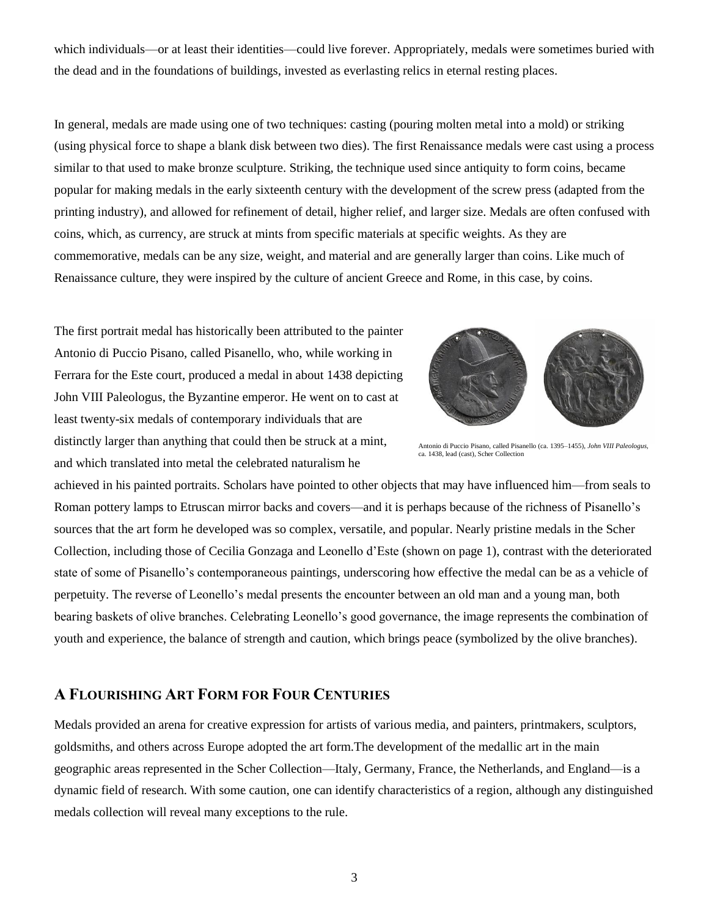which individuals—or at least their identities—could live forever. Appropriately, medals were sometimes buried with the dead and in the foundations of buildings, invested as everlasting relics in eternal resting places.

In general, medals are made using one of two techniques: casting (pouring molten metal into a mold) or striking (using physical force to shape a blank disk between two dies). The first Renaissance medals were cast using a process similar to that used to make bronze sculpture. Striking, the technique used since antiquity to form coins, became popular for making medals in the early sixteenth century with the development of the screw press (adapted from the printing industry), and allowed for refinement of detail, higher relief, and larger size. Medals are often confused with coins, which, as currency, are struck at mints from specific materials at specific weights. As they are commemorative, medals can be any size, weight, and material and are generally larger than coins. Like much of Renaissance culture, they were inspired by the culture of ancient Greece and Rome, in this case, by coins.

The first portrait medal has historically been attributed to the painter Antonio di Puccio Pisano, called Pisanello, who, while working in Ferrara for the Este court, produced a medal in about 1438 depicting John VIII Paleologus, the Byzantine emperor. He went on to cast at least twenty-six medals of contemporary individuals that are distinctly larger than anything that could then be struck at a mint, and which translated into metal the celebrated naturalism he



Antonio di Puccio Pisano, called Pisanello (ca. 1395–1455), *John VIII Paleologus,*  ca. 1438, lead (cast), Scher Collection

achieved in his painted portraits. Scholars have pointed to other objects that may have influenced him—from seals to Roman pottery lamps to Etruscan mirror backs and covers—and it is perhaps because of the richness of Pisanello's sources that the art form he developed was so complex, versatile, and popular. Nearly pristine medals in the Scher Collection, including those of Cecilia Gonzaga and Leonello d'Este (shown on page 1), contrast with the deteriorated state of some of Pisanello's contemporaneous paintings, underscoring how effective the medal can be as a vehicle of perpetuity. The reverse of Leonello's medal presents the encounter between an old man and a young man, both bearing baskets of olive branches. Celebrating Leonello's good governance, the image represents the combination of youth and experience, the balance of strength and caution, which brings peace (symbolized by the olive branches).

#### **A FLOURISHING ART FORM FOR FOUR CENTURIES**

Medals provided an arena for creative expression for artists of various media, and painters, printmakers, sculptors, goldsmiths, and others across Europe adopted the art form.The development of the medallic art in the main geographic areas represented in the Scher Collection—Italy, Germany, France, the Netherlands, and England—is a dynamic field of research. With some caution, one can identify characteristics of a region, although any distinguished medals collection will reveal many exceptions to the rule.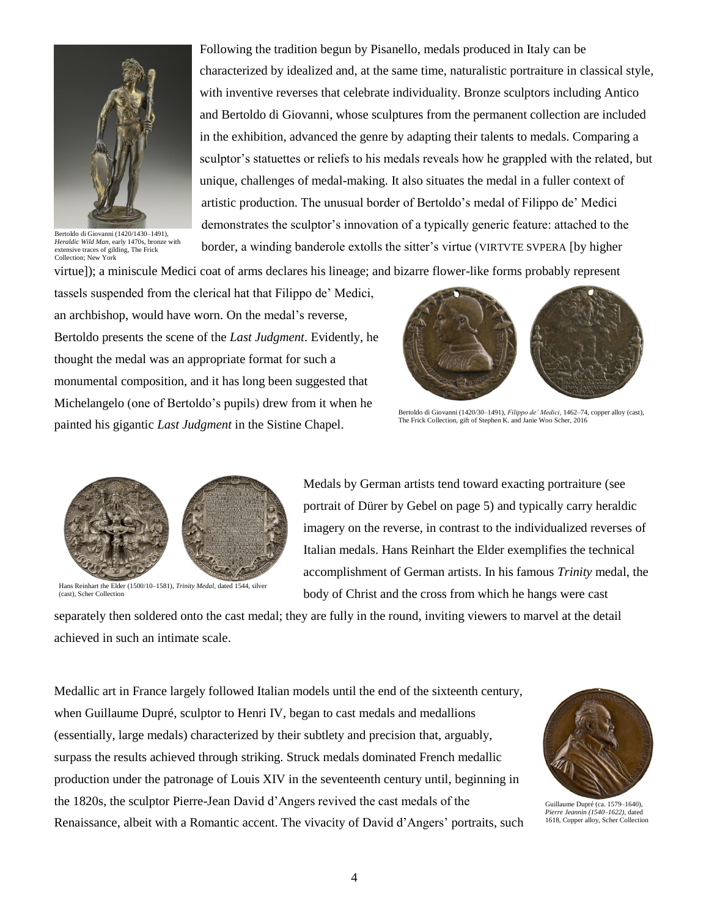

Bertoldo di [Giovanni](http://collections.frick.org/view/people/asitem/items@:49?t:state:flow=3c3a2f21-dbda-494a-b2b0-6366218ab8ca) (1420/1430–1491), *Heraldic Wild Man*, early 1470s, bronze with extensive traces of gilding, The Frick Collection; New York

Following the tradition begun by Pisanello, medals produced in Italy can be characterized by idealized and, at the same time, naturalistic portraiture in classical style, with inventive reverses that celebrate individuality. Bronze sculptors including Antico and Bertoldo di Giovanni, whose sculptures from the permanent collection are included in the exhibition, advanced the genre by adapting their talents to medals. Comparing a sculptor's statuettes or reliefs to his medals reveals how he grappled with the related, but unique, challenges of medal-making. It also situates the medal in a fuller context of artistic production. The unusual border of Bertoldo's medal of Filippo de' Medici demonstrates the sculptor's innovation of a typically generic feature: attached to the border, a winding banderole extolls the sitter's virtue (VIRTVTE SVPERA [by higher

virtue]); a miniscule Medici coat of arms declares his lineage; and bizarre flower-like forms probably represent

tassels suspended from the clerical hat that Filippo de' Medici, an archbishop, would have worn. On the medal's reverse, Bertoldo presents the scene of the *Last Judgment*. Evidently, he thought the medal was an appropriate format for such a monumental composition, and it has long been suggested that Michelangelo (one of Bertoldo's pupils) drew from it when he painted his gigantic *Last Judgment* in the Sistine Chapel.



Bertoldo di Giovanni (1420/30–1491), *Filippo de' Medici*, 1462–74, copper alloy (cast), The Frick Collection, gift of Stephen K. and Janie Woo Scher, 2016



Hans Reinhart the Elder (1500/10–1581)*, Trinity Medal*, dated 1544, silver (cast), Scher Collection

Medals by German artists tend toward exacting portraiture (see portrait of Dürer by Gebel on page 5) and typically carry heraldic imagery on the reverse, in contrast to the individualized reverses of Italian medals. Hans Reinhart the Elder exemplifies the technical accomplishment of German artists. In his famous *Trinity* medal, the body of Christ and the cross from which he hangs were cast

separately then soldered onto the cast medal; they are fully in the round, inviting viewers to marvel at the detail achieved in such an intimate scale.

Medallic art in France largely followed Italian models until the end of the sixteenth century, when Guillaume Dupré, sculptor to Henri IV, began to cast medals and medallions (essentially, large medals) characterized by their subtlety and precision that, arguably, surpass the results achieved through striking. Struck medals dominated French medallic production under the patronage of Louis XIV in the seventeenth century until, beginning in the 1820s, the sculptor Pierre-Jean David d'Angers revived the cast medals of the Renaissance, albeit with a Romantic accent. The vivacity of David d'Angers' portraits, such



Guillaume Dupré (ca. 1579–1640), *Pierre Jeannin (1540–1622)*, dated 1618, Copper alloy, Scher Collection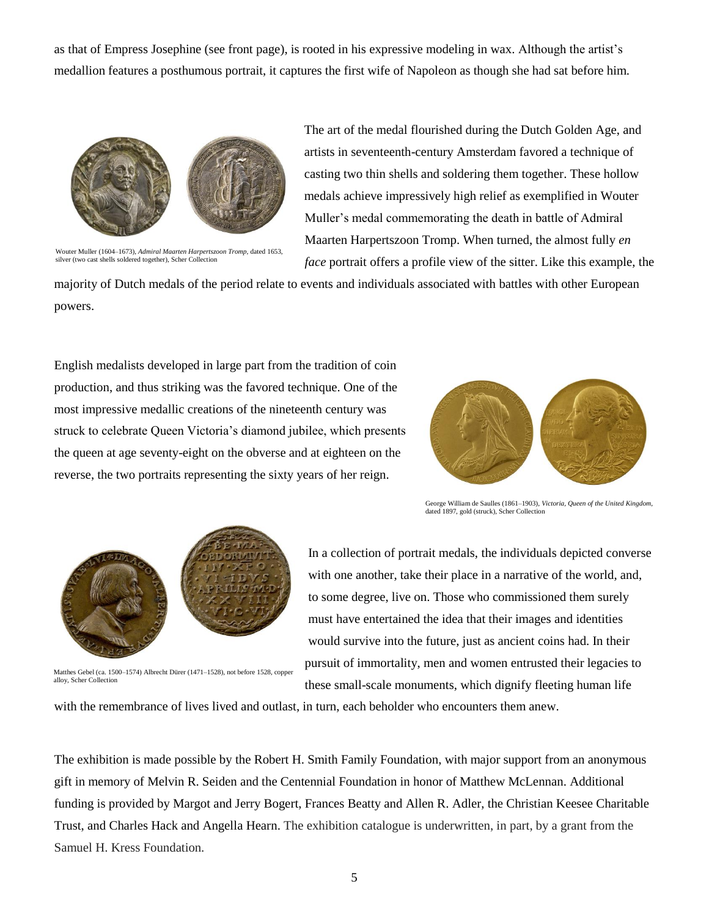as that of Empress Josephine (see front page), is rooted in his expressive modeling in wax. Although the artist's medallion features a posthumous portrait, it captures the first wife of Napoleon as though she had sat before him.



Wouter Muller (1604–1673), *Admiral Maarten Harpertszoon Tromp*, dated 1653, silver (two cast shells soldered together), Scher Collection

The art of the medal flourished during the Dutch Golden Age, and artists in seventeenth-century Amsterdam favored a technique of casting two thin shells and soldering them together. These hollow medals achieve impressively high relief as exemplified in Wouter Muller's medal commemorating the death in battle of Admiral Maarten Harpertszoon Tromp. When turned, the almost fully *en face* portrait offers a profile view of the sitter. Like this example, the

majority of Dutch medals of the period relate to events and individuals associated with battles with other European powers.

English medalists developed in large part from the tradition of coin production, and thus striking was the favored technique. One of the most impressive medallic creations of the nineteenth century was struck to celebrate Queen Victoria's diamond jubilee, which presents the queen at age seventy-eight on the obverse and at eighteen on the reverse, the two portraits representing the sixty years of her reign.



George William de Saulles (1861–1903), *Victoria, Queen of the United Kingdom*, dated 1897, gold (struck), Scher Collection



Matthes Gebel (ca. 1500–1574) Albrecht Dürer (1471–1528), not before 1528, copper alloy, Scher Collection

In a collection of portrait medals, the individuals depicted converse with one another, take their place in a narrative of the world, and, to some degree, live on. Those who commissioned them surely must have entertained the idea that their images and identities would survive into the future, just as ancient coins had. In their pursuit of immortality, men and women entrusted their legacies to these small-scale monuments, which dignify fleeting human life

with the remembrance of lives lived and outlast, in turn, each beholder who encounters them anew.

The exhibition is made possible by the Robert H. Smith Family Foundation, with major support from an anonymous gift in memory of Melvin R. Seiden and the Centennial Foundation in honor of Matthew McLennan. Additional funding is provided by Margot and Jerry Bogert, Frances Beatty and Allen R. Adler, the Christian Keesee Charitable Trust, and Charles Hack and Angella Hearn. The exhibition catalogue is underwritten, in part, by a grant from the Samuel H. Kress Foundation.